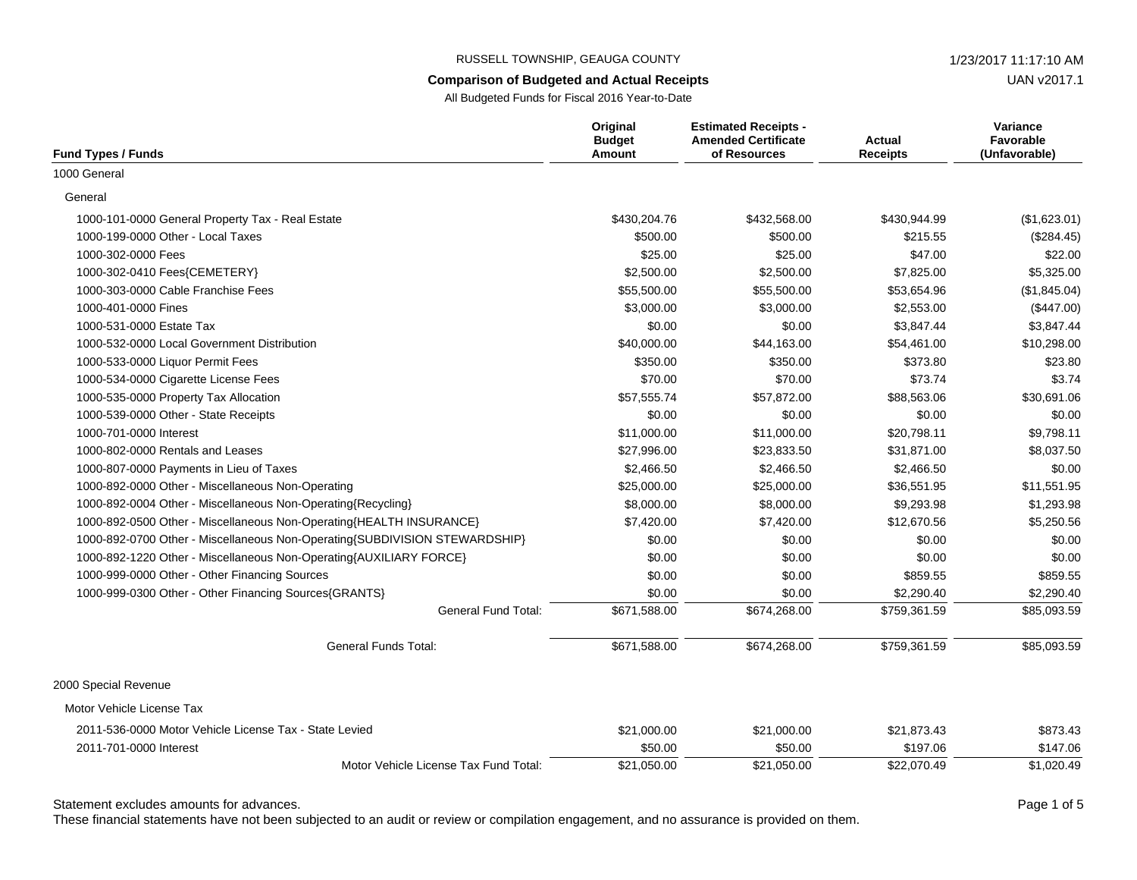#### **Comparison of Budgeted and Actual Receipts**

UAN v2017.1

All Budgeted Funds for Fiscal 2016 Year-to-Date

| <b>Fund Types / Funds</b>                                                  | Original<br><b>Budget</b><br>Amount | <b>Estimated Receipts -</b><br><b>Amended Certificate</b><br>of Resources | Actual<br><b>Receipts</b> | Variance<br><b>Favorable</b><br>(Unfavorable) |
|----------------------------------------------------------------------------|-------------------------------------|---------------------------------------------------------------------------|---------------------------|-----------------------------------------------|
| 1000 General                                                               |                                     |                                                                           |                           |                                               |
| General                                                                    |                                     |                                                                           |                           |                                               |
| 1000-101-0000 General Property Tax - Real Estate                           | \$430,204.76                        | \$432,568.00                                                              | \$430,944.99              | (\$1,623.01)                                  |
| 1000-199-0000 Other - Local Taxes                                          | \$500.00                            | \$500.00                                                                  | \$215.55                  | (\$284.45)                                    |
| 1000-302-0000 Fees                                                         | \$25.00                             | \$25.00                                                                   | \$47.00                   | \$22.00                                       |
| 1000-302-0410 Fees{CEMETERY}                                               | \$2,500.00                          | \$2,500.00                                                                | \$7,825.00                | \$5,325.00                                    |
| 1000-303-0000 Cable Franchise Fees                                         | \$55,500.00                         | \$55,500.00                                                               | \$53,654.96               | (\$1,845.04)                                  |
| 1000-401-0000 Fines                                                        | \$3,000.00                          | \$3,000.00                                                                | \$2,553.00                | (\$447.00)                                    |
| 1000-531-0000 Estate Tax                                                   | \$0.00                              | \$0.00                                                                    | \$3,847.44                | \$3,847.44                                    |
| 1000-532-0000 Local Government Distribution                                | \$40,000.00                         | \$44,163.00                                                               | \$54,461.00               | \$10,298.00                                   |
| 1000-533-0000 Liquor Permit Fees                                           | \$350.00                            | \$350.00                                                                  | \$373.80                  | \$23.80                                       |
| 1000-534-0000 Cigarette License Fees                                       | \$70.00                             | \$70.00                                                                   | \$73.74                   | \$3.74                                        |
| 1000-535-0000 Property Tax Allocation                                      | \$57,555.74                         | \$57.872.00                                                               | \$88.563.06               | \$30,691.06                                   |
| 1000-539-0000 Other - State Receipts                                       | \$0.00                              | \$0.00                                                                    | \$0.00                    | \$0.00                                        |
| 1000-701-0000 Interest                                                     | \$11,000.00                         | \$11,000.00                                                               | \$20,798.11               | \$9,798.11                                    |
| 1000-802-0000 Rentals and Leases                                           | \$27,996.00                         | \$23,833.50                                                               | \$31,871.00               | \$8,037.50                                    |
| 1000-807-0000 Payments in Lieu of Taxes                                    | \$2,466.50                          | \$2,466.50                                                                | \$2,466.50                | \$0.00                                        |
| 1000-892-0000 Other - Miscellaneous Non-Operating                          | \$25,000.00                         | \$25,000.00                                                               | \$36,551.95               | \$11,551.95                                   |
| 1000-892-0004 Other - Miscellaneous Non-Operating{Recycling}               | \$8,000.00                          | \$8,000.00                                                                | \$9,293.98                | \$1,293.98                                    |
| 1000-892-0500 Other - Miscellaneous Non-Operating{HEALTH INSURANCE}        | \$7,420.00                          | \$7,420.00                                                                | \$12,670.56               | \$5,250.56                                    |
| 1000-892-0700 Other - Miscellaneous Non-Operating{SUBDIVISION STEWARDSHIP} | \$0.00                              | \$0.00                                                                    | \$0.00                    | \$0.00                                        |
| 1000-892-1220 Other - Miscellaneous Non-Operating{AUXILIARY FORCE}         | \$0.00                              | \$0.00                                                                    | \$0.00                    | \$0.00                                        |
| 1000-999-0000 Other - Other Financing Sources                              | \$0.00                              | \$0.00                                                                    | \$859.55                  | \$859.55                                      |
| 1000-999-0300 Other - Other Financing Sources{GRANTS}                      | \$0.00                              | \$0.00                                                                    | \$2,290.40                | \$2,290.40                                    |
| <b>General Fund Total:</b>                                                 | \$671,588.00                        | \$674,268.00                                                              | \$759,361.59              | \$85,093.59                                   |
| <b>General Funds Total:</b>                                                | \$671,588.00                        | \$674,268.00                                                              | \$759,361.59              | \$85,093.59                                   |
| 2000 Special Revenue                                                       |                                     |                                                                           |                           |                                               |
| Motor Vehicle License Tax                                                  |                                     |                                                                           |                           |                                               |
| 2011-536-0000 Motor Vehicle License Tax - State Levied                     | \$21,000.00                         | \$21,000.00                                                               | \$21,873.43               | \$873.43                                      |
| 2011-701-0000 Interest                                                     | \$50.00                             | \$50.00                                                                   | \$197.06                  | \$147.06                                      |
| Motor Vehicle License Tax Fund Total:                                      | \$21,050.00                         | \$21,050.00                                                               | \$22,070.49               | \$1,020.49                                    |

Statement excludes amounts for advances. The statement excludes amounts for advances.

These financial statements have not been subjected to an audit or review or compilation engagement, and no assurance is provided on them.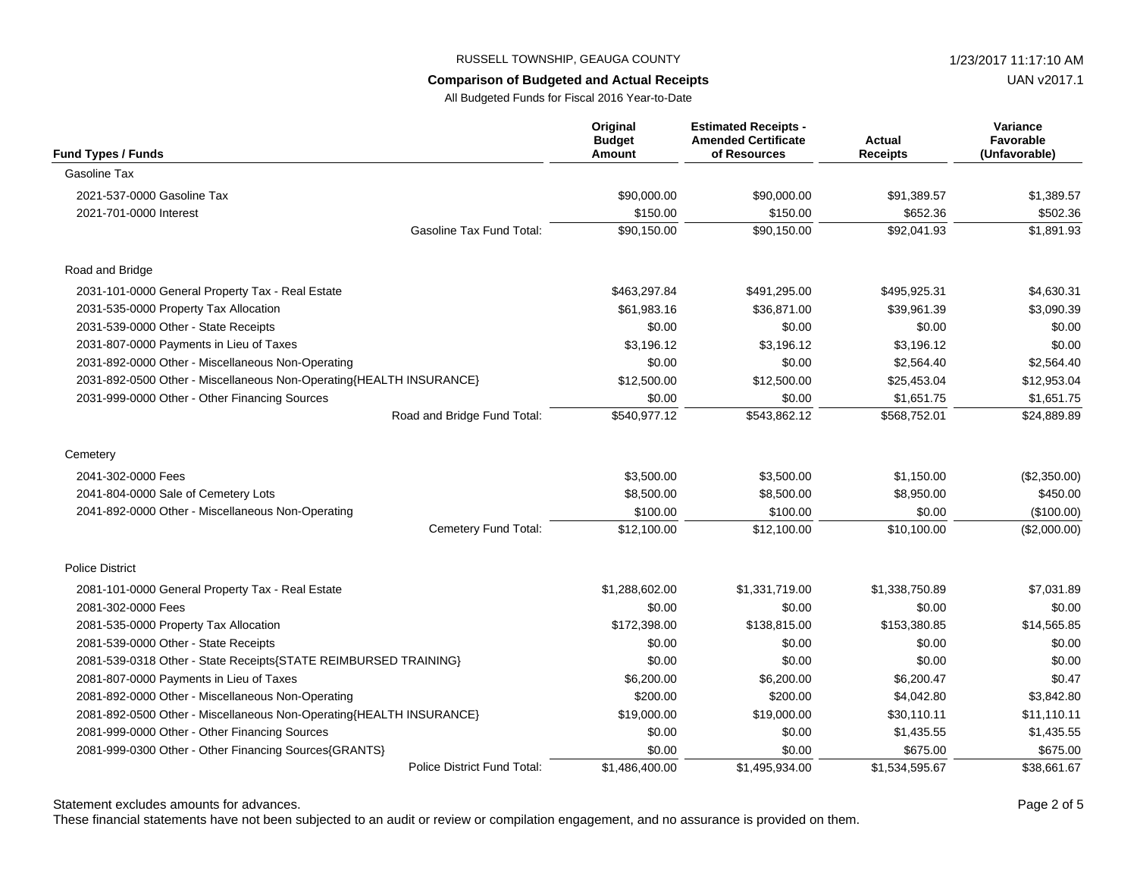UAN v2017.1

All Budgeted Funds for Fiscal 2016 Year-to-Date

| <b>Fund Types / Funds</b>                                           | Original<br><b>Budget</b><br><b>Amount</b> | <b>Estimated Receipts -</b><br><b>Amended Certificate</b><br>of Resources | <b>Actual</b><br><b>Receipts</b> | Variance<br>Favorable<br>(Unfavorable) |
|---------------------------------------------------------------------|--------------------------------------------|---------------------------------------------------------------------------|----------------------------------|----------------------------------------|
| Gasoline Tax                                                        |                                            |                                                                           |                                  |                                        |
| 2021-537-0000 Gasoline Tax                                          | \$90,000.00                                | \$90,000.00                                                               | \$91,389.57                      | \$1,389.57                             |
| 2021-701-0000 Interest                                              | \$150.00                                   | \$150.00                                                                  | \$652.36                         | \$502.36                               |
| <b>Gasoline Tax Fund Total:</b>                                     | \$90,150.00                                | \$90,150.00                                                               | \$92,041.93                      | \$1,891.93                             |
| Road and Bridge                                                     |                                            |                                                                           |                                  |                                        |
| 2031-101-0000 General Property Tax - Real Estate                    | \$463,297.84                               | \$491,295.00                                                              | \$495,925.31                     | \$4,630.31                             |
| 2031-535-0000 Property Tax Allocation                               | \$61.983.16                                | \$36.871.00                                                               | \$39,961.39                      | \$3,090.39                             |
| 2031-539-0000 Other - State Receipts                                | \$0.00                                     | \$0.00                                                                    | \$0.00                           | \$0.00                                 |
| 2031-807-0000 Payments in Lieu of Taxes                             | \$3,196.12                                 | \$3,196.12                                                                | \$3,196.12                       | \$0.00                                 |
| 2031-892-0000 Other - Miscellaneous Non-Operating                   | \$0.00                                     | \$0.00                                                                    | \$2,564.40                       | \$2,564.40                             |
| 2031-892-0500 Other - Miscellaneous Non-Operating{HEALTH INSURANCE} | \$12,500.00                                | \$12,500.00                                                               | \$25,453.04                      | \$12,953.04                            |
| 2031-999-0000 Other - Other Financing Sources                       | \$0.00                                     | \$0.00                                                                    | \$1,651.75                       | \$1,651.75                             |
| Road and Bridge Fund Total:                                         | \$540,977.12                               | \$543,862.12                                                              | \$568,752.01                     | \$24,889.89                            |
| Cemetery                                                            |                                            |                                                                           |                                  |                                        |
| 2041-302-0000 Fees                                                  | \$3,500.00                                 | \$3,500.00                                                                | \$1,150.00                       | (\$2,350.00)                           |
| 2041-804-0000 Sale of Cemetery Lots                                 | \$8,500.00                                 | \$8,500.00                                                                | \$8,950.00                       | \$450.00                               |
| 2041-892-0000 Other - Miscellaneous Non-Operating                   | \$100.00                                   | \$100.00                                                                  | \$0.00                           | (\$100.00)                             |
| Cemetery Fund Total:                                                | \$12,100.00                                | \$12,100.00                                                               | \$10,100.00                      | (\$2,000.00)                           |
| <b>Police District</b>                                              |                                            |                                                                           |                                  |                                        |
| 2081-101-0000 General Property Tax - Real Estate                    | \$1,288,602.00                             | \$1,331,719.00                                                            | \$1,338,750.89                   | \$7,031.89                             |
| 2081-302-0000 Fees                                                  | \$0.00                                     | \$0.00                                                                    | \$0.00                           | \$0.00                                 |
| 2081-535-0000 Property Tax Allocation                               | \$172,398.00                               | \$138,815.00                                                              | \$153,380.85                     | \$14,565.85                            |
| 2081-539-0000 Other - State Receipts                                | \$0.00                                     | \$0.00                                                                    | \$0.00                           | \$0.00                                 |
| 2081-539-0318 Other - State Receipts{STATE REIMBURSED TRAINING}     | \$0.00                                     | \$0.00                                                                    | \$0.00                           | \$0.00                                 |
| 2081-807-0000 Payments in Lieu of Taxes                             | \$6,200.00                                 | \$6,200.00                                                                | \$6,200.47                       | \$0.47                                 |
| 2081-892-0000 Other - Miscellaneous Non-Operating                   | \$200.00                                   | \$200.00                                                                  | \$4,042.80                       | \$3,842.80                             |
| 2081-892-0500 Other - Miscellaneous Non-Operating{HEALTH INSURANCE} | \$19,000.00                                | \$19,000.00                                                               | \$30,110.11                      | \$11,110.11                            |
| 2081-999-0000 Other - Other Financing Sources                       | \$0.00                                     | \$0.00                                                                    | \$1,435.55                       | \$1,435.55                             |
| 2081-999-0300 Other - Other Financing Sources{GRANTS}               | \$0.00                                     | \$0.00                                                                    | \$675.00                         | \$675.00                               |
| Police District Fund Total:                                         | \$1,486,400.00                             | \$1,495,934.00                                                            | \$1,534,595.67                   | \$38,661.67                            |

Statement excludes amounts for advances. The statement excludes amounts for advances.

These financial statements have not been subjected to an audit or review or compilation engagement, and no assurance is provided on them.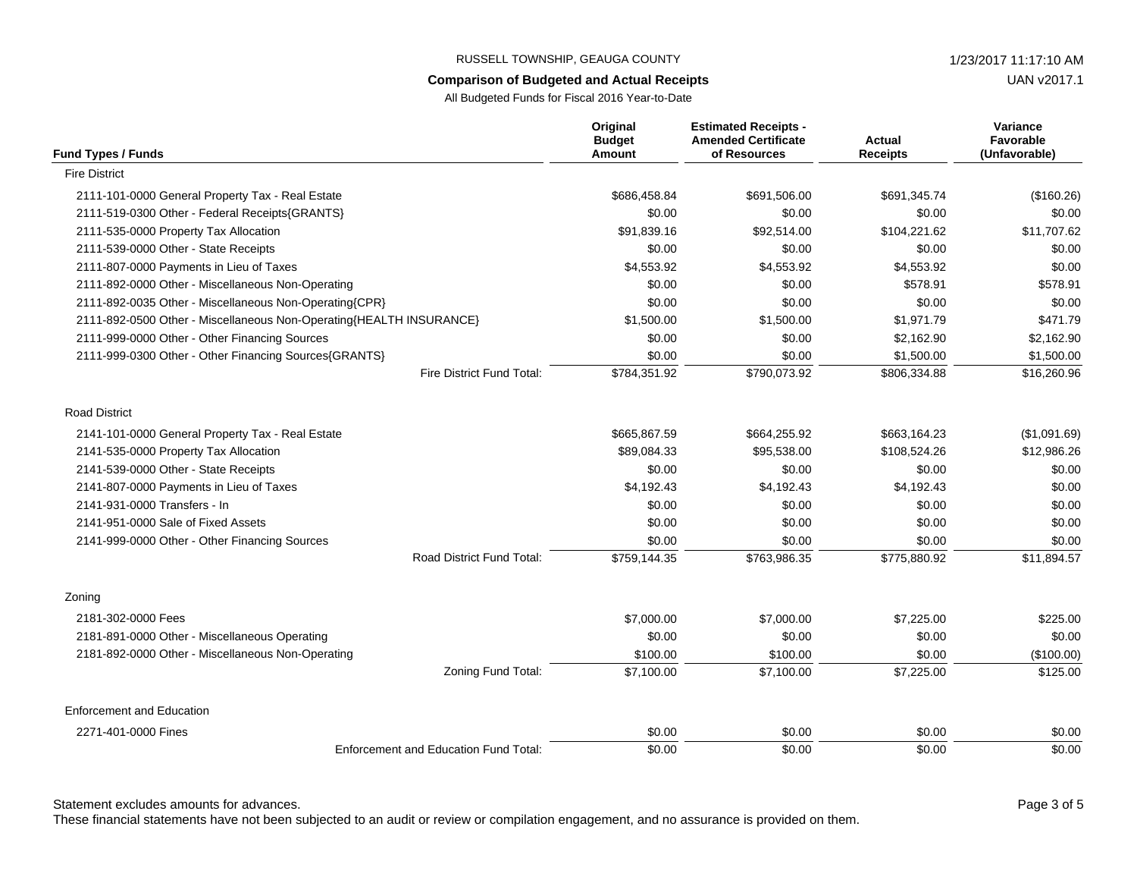#### **Comparison of Budgeted and Actual Receipts**

All Budgeted Funds for Fiscal 2016 Year-to-Date

| <b>Fund Types / Funds</b>                                           | Original<br><b>Budget</b><br><b>Amount</b> | <b>Estimated Receipts -</b><br><b>Amended Certificate</b><br>of Resources | <b>Actual</b><br><b>Receipts</b> | Variance<br>Favorable<br>(Unfavorable) |
|---------------------------------------------------------------------|--------------------------------------------|---------------------------------------------------------------------------|----------------------------------|----------------------------------------|
| <b>Fire District</b>                                                |                                            |                                                                           |                                  |                                        |
| 2111-101-0000 General Property Tax - Real Estate                    | \$686,458.84                               | \$691,506.00                                                              | \$691,345.74                     | (\$160.26)                             |
| 2111-519-0300 Other - Federal Receipts{GRANTS}                      | \$0.00                                     | \$0.00                                                                    | \$0.00                           | \$0.00                                 |
| 2111-535-0000 Property Tax Allocation                               | \$91.839.16                                | \$92.514.00                                                               | \$104,221.62                     | \$11,707.62                            |
| 2111-539-0000 Other - State Receipts                                | \$0.00                                     | \$0.00                                                                    | \$0.00                           | \$0.00                                 |
| 2111-807-0000 Payments in Lieu of Taxes                             | \$4,553.92                                 | \$4,553.92                                                                | \$4,553.92                       | \$0.00                                 |
| 2111-892-0000 Other - Miscellaneous Non-Operating                   | \$0.00                                     | \$0.00                                                                    | \$578.91                         | \$578.91                               |
| 2111-892-0035 Other - Miscellaneous Non-Operating{CPR}              | \$0.00                                     | \$0.00                                                                    | \$0.00                           | \$0.00                                 |
| 2111-892-0500 Other - Miscellaneous Non-Operating{HEALTH INSURANCE} | \$1,500.00                                 | \$1,500.00                                                                | \$1,971.79                       | \$471.79                               |
| 2111-999-0000 Other - Other Financing Sources                       | \$0.00                                     | \$0.00                                                                    | \$2,162.90                       | \$2,162.90                             |
| 2111-999-0300 Other - Other Financing Sources{GRANTS}               | \$0.00                                     | \$0.00                                                                    | \$1,500.00                       | \$1,500.00                             |
| Fire District Fund Total:                                           | \$784,351.92                               | \$790,073.92                                                              | \$806,334.88                     | \$16,260.96                            |
| <b>Road District</b>                                                |                                            |                                                                           |                                  |                                        |
| 2141-101-0000 General Property Tax - Real Estate                    | \$665,867.59                               | \$664,255.92                                                              | \$663,164.23                     | (\$1,091.69)                           |
| 2141-535-0000 Property Tax Allocation                               | \$89,084.33                                | \$95,538.00                                                               | \$108,524.26                     | \$12,986.26                            |
| 2141-539-0000 Other - State Receipts                                | \$0.00                                     | \$0.00                                                                    | \$0.00                           | \$0.00                                 |
| 2141-807-0000 Payments in Lieu of Taxes                             | \$4,192.43                                 | \$4,192.43                                                                | \$4,192.43                       | \$0.00                                 |
| 2141-931-0000 Transfers - In                                        | \$0.00                                     | \$0.00                                                                    | \$0.00                           | \$0.00                                 |
| 2141-951-0000 Sale of Fixed Assets                                  | \$0.00                                     | \$0.00                                                                    | \$0.00                           | \$0.00                                 |
| 2141-999-0000 Other - Other Financing Sources                       | \$0.00                                     | \$0.00                                                                    | \$0.00                           | \$0.00                                 |
| Road District Fund Total:                                           | \$759,144.35                               | \$763,986.35                                                              | \$775,880.92                     | \$11,894.57                            |
| Zoning                                                              |                                            |                                                                           |                                  |                                        |
| 2181-302-0000 Fees                                                  | \$7,000.00                                 | \$7,000.00                                                                | \$7,225.00                       | \$225.00                               |
| 2181-891-0000 Other - Miscellaneous Operating                       | \$0.00                                     | \$0.00                                                                    | \$0.00                           | \$0.00                                 |
| 2181-892-0000 Other - Miscellaneous Non-Operating                   | \$100.00                                   | \$100.00                                                                  | \$0.00                           | (\$100.00)                             |
| Zoning Fund Total:                                                  | \$7,100.00                                 | \$7,100.00                                                                | \$7,225.00                       | \$125.00                               |
| <b>Enforcement and Education</b>                                    |                                            |                                                                           |                                  |                                        |
| 2271-401-0000 Fines                                                 | \$0.00                                     | \$0.00                                                                    | \$0.00                           | \$0.00                                 |
| <b>Enforcement and Education Fund Total:</b>                        | \$0.00                                     | \$0.00                                                                    | \$0.00                           | \$0.00                                 |

Statement excludes amounts for advances. The statement excludes amounts for advances.

These financial statements have not been subjected to an audit or review or compilation engagement, and no assurance is provided on them.

UAN v2017.1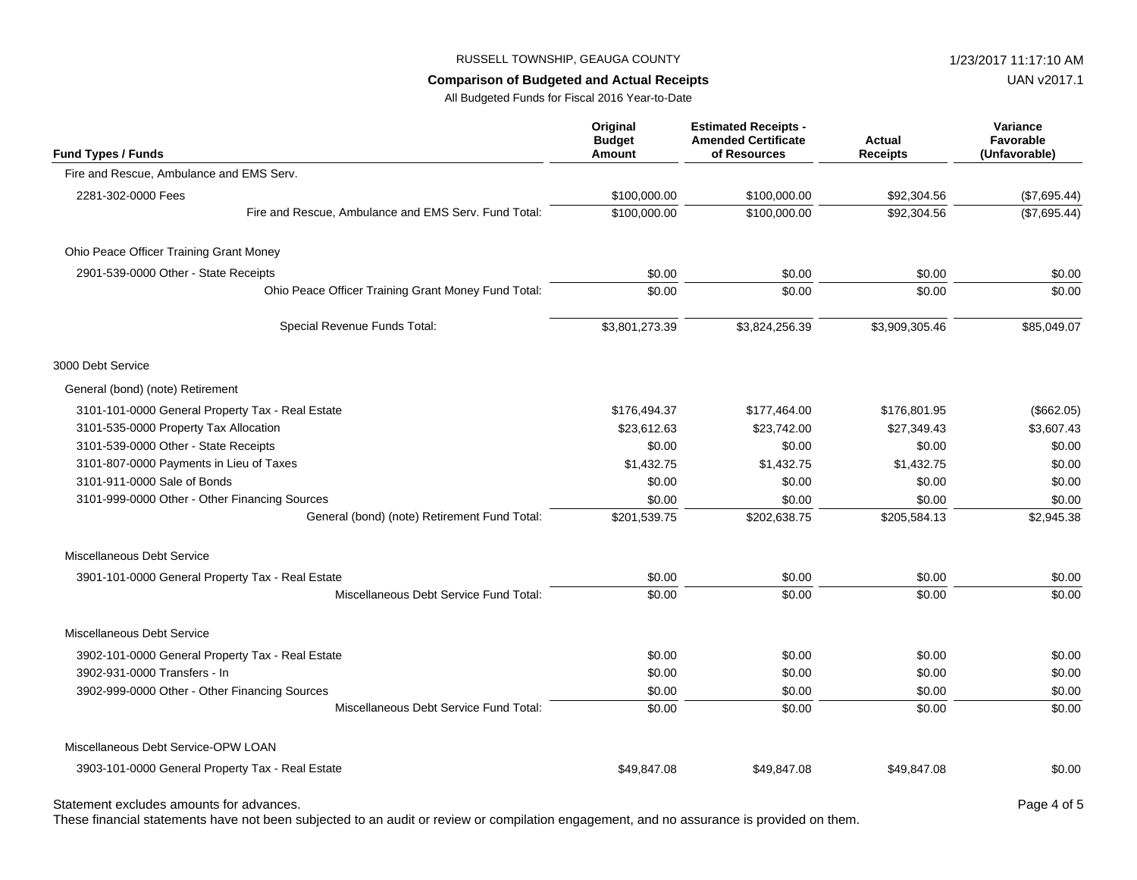#### **Comparison of Budgeted and Actual Receipts**

All Budgeted Funds for Fiscal 2016 Year-to-Date

| Fund Types / Funds                                   | Original<br><b>Budget</b><br>Amount | <b>Estimated Receipts -</b><br><b>Amended Certificate</b><br>of Resources | Actual<br><b>Receipts</b> | Variance<br>Favorable<br>(Unfavorable) |
|------------------------------------------------------|-------------------------------------|---------------------------------------------------------------------------|---------------------------|----------------------------------------|
| Fire and Rescue, Ambulance and EMS Serv.             |                                     |                                                                           |                           |                                        |
| 2281-302-0000 Fees                                   | \$100,000.00                        | \$100,000.00                                                              | \$92,304.56               | (\$7,695.44)                           |
| Fire and Rescue, Ambulance and EMS Serv. Fund Total: | \$100,000.00                        | \$100,000.00                                                              | \$92,304.56               | (\$7,695.44)                           |
| Ohio Peace Officer Training Grant Money              |                                     |                                                                           |                           |                                        |
| 2901-539-0000 Other - State Receipts                 | \$0.00                              | \$0.00                                                                    | \$0.00                    | \$0.00                                 |
| Ohio Peace Officer Training Grant Money Fund Total:  | \$0.00                              | \$0.00                                                                    | \$0.00                    | \$0.00                                 |
| Special Revenue Funds Total:                         | \$3,801,273.39                      | \$3,824,256.39                                                            | \$3,909,305.46            | \$85,049.07                            |
| 3000 Debt Service                                    |                                     |                                                                           |                           |                                        |
| General (bond) (note) Retirement                     |                                     |                                                                           |                           |                                        |
| 3101-101-0000 General Property Tax - Real Estate     | \$176,494.37                        | \$177,464.00                                                              | \$176,801.95              | (\$662.05)                             |
| 3101-535-0000 Property Tax Allocation                | \$23,612.63                         | \$23,742.00                                                               | \$27,349.43               | \$3,607.43                             |
| 3101-539-0000 Other - State Receipts                 | \$0.00                              | \$0.00                                                                    | \$0.00                    | \$0.00                                 |
| 3101-807-0000 Payments in Lieu of Taxes              | \$1,432.75                          | \$1,432.75                                                                | \$1,432.75                | \$0.00                                 |
| 3101-911-0000 Sale of Bonds                          | \$0.00                              | \$0.00                                                                    | \$0.00                    | \$0.00                                 |
| 3101-999-0000 Other - Other Financing Sources        | \$0.00                              | \$0.00                                                                    | \$0.00                    | \$0.00                                 |
| General (bond) (note) Retirement Fund Total:         | \$201,539.75                        | \$202,638.75                                                              | \$205,584.13              | \$2,945.38                             |
| Miscellaneous Debt Service                           |                                     |                                                                           |                           |                                        |
| 3901-101-0000 General Property Tax - Real Estate     | \$0.00                              | \$0.00                                                                    | \$0.00                    | \$0.00                                 |
| Miscellaneous Debt Service Fund Total:               | \$0.00                              | \$0.00                                                                    | \$0.00                    | \$0.00                                 |
| Miscellaneous Debt Service                           |                                     |                                                                           |                           |                                        |
| 3902-101-0000 General Property Tax - Real Estate     | \$0.00                              | \$0.00                                                                    | \$0.00                    | \$0.00                                 |
| 3902-931-0000 Transfers - In                         | \$0.00                              | \$0.00                                                                    | \$0.00                    | \$0.00                                 |
| 3902-999-0000 Other - Other Financing Sources        | \$0.00                              | \$0.00                                                                    | \$0.00                    | \$0.00                                 |
| Miscellaneous Debt Service Fund Total:               | \$0.00                              | \$0.00                                                                    | \$0.00                    | \$0.00                                 |
| Miscellaneous Debt Service-OPW LOAN                  |                                     |                                                                           |                           |                                        |
| 3903-101-0000 General Property Tax - Real Estate     | \$49,847.08                         | \$49,847.08                                                               | \$49,847.08               | \$0.00                                 |

Statement excludes amounts for advances. The statement excludes amounts for advances.

These financial statements have not been subjected to an audit or review or compilation engagement, and no assurance is provided on them.